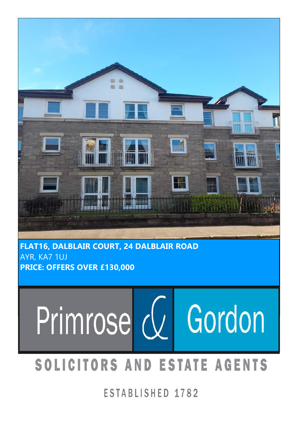

**FLAT16, DALBLAIR COURT, 24 DALBLAIR ROAD** AYR, KA7 1UJ **PRICE: OFFERS OVER £130,000**

555 555 5555 Name 555 555 5555 Name 555 555 5555 Name 555 555 5555 Name 555 555 5555 Name 555 555 5555 Name 555 555 5555 Name 555 555 5555 Name 555 555 5555 Name 555 555 5555

# SOLICITORS AND ESTATE AGENTS

ESTABLISHED 1782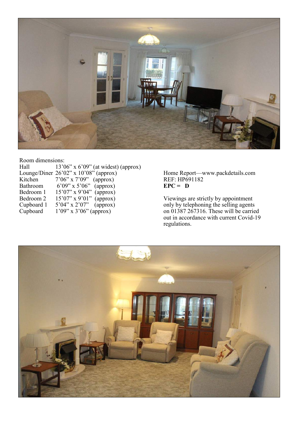

## Room dimensions:

| $13'06''$ x 6'09" (at widest) (approx)      |                                        |
|---------------------------------------------|----------------------------------------|
| Lounge/Diner $26'02''$ x $10'08''$ (approx) | Home Report—www.packdetails.com        |
| $7'06''$ x $7'09''$ (approx)                | REF: HP691182                          |
| 6'09" x 5'06" (approx)                      | $EPC = D$                              |
| $15'07''$ x 9'04" (approx)                  |                                        |
| $15'07''$ x 9'01"<br>(approx)               | Viewings are strictly by appointment   |
| $5'04''$ x $2'07''$ (approx)                | only by telephoning the selling agents |
| $1'09''$ x 3'06" (approx)                   | on 01387 267316. These will be carried |
|                                             |                                        |

out in accordance with current Covid-19 regulations.

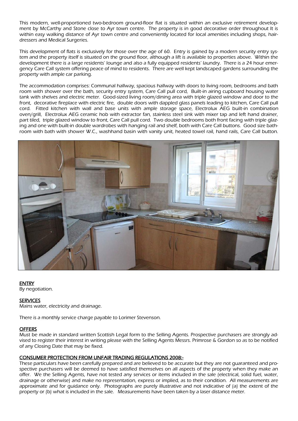This modern, well-proportioned two-bedroom ground-floor flat is situated within an exclusive retirement development by McCarthy and Stone close to Ayr town centre. The property is in good decorative order throughout It is within easy walking distance of Ayr town centre and conveniently located for local amenities including shops, hairdressers and Medical Surgeries.

This development of flats is exclusively for those over the age of 60. Entry is gained by a modern security entry system and the property itself is situated on the ground floor, although a lift is available to properties above. Within the development there is a large residents' lounge and also a fully equipped residents' laundry. There is a 24 hour emergency Care Call system offering peace of mind to residents. There are well kept landscaped gardens surrounding the property with ample car parking.

The accommodation comprises: Communal hallway, spacious hallway with doors to living room, bedrooms and bath room with shower over the bath, security entry system, Care Call pull cord, Built-in airing cupboard housing water tank with shelves and electric meter. Good-sized living room/dining area with triple glazed window and door to the front, decorative fireplace with electric fire, double doors with dappled glass panels leading to kitchen, Care Call pull cord. Fitted kitchen with wall and base units with ample storage space, Electrolux AEG built-in combination oven/grill, Electrolux AEG ceramic hob with extractor fan, stainless steel sink with mixer tap and left hand drainer, part tiled, triple glazed window to front, Care Call pull cord. Two double bedrooms both front facing with triple glazing and one with built-in double wardrobes with hanging rail and shelf, both with Care Call buttons. Good size bathroom with bath with shower W.C., washhand basin with vanity unit, heated towel rail, hand rails, Care Call button.



### ENTRY

By negotiation.

#### **SERVICES**

Mains water, electricity and drainage.

There is a monthly service charge payable to Lorimer Stevenson.

#### **OFFERS**

Must be made in standard written Scottish Legal form to the Selling Agents. Prospective purchasers are strongly advised to register their interest in writing please with the Selling Agents Messrs. Primrose & Gordon so as to be notified of any Closing Date that may be fixed.

#### CONSUMER PROTECTION FROM UNFAIR TRADING REGULATIONS 2008:-

These particulars have been carefully prepared and are believed to be accurate but they are not guaranteed and prospective purchasers will be deemed to have satisfied themselves on all aspects of the property when they make an offer. We the Selling Agents, have not tested any services or items included in the sale (electrical, solid fuel, water, drainage or otherwise) and make no representation, express or implied, as to their condition. All measurements are approximate and for guidance only. Photographs are purely illustrative and not indicative of (a) the extent of the property or (b) what is included in the sale. Measurements have been taken by a laser distance meter.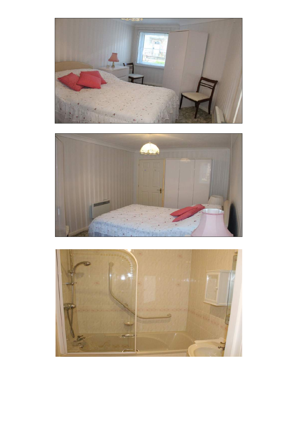



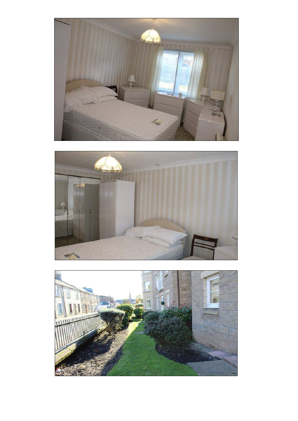